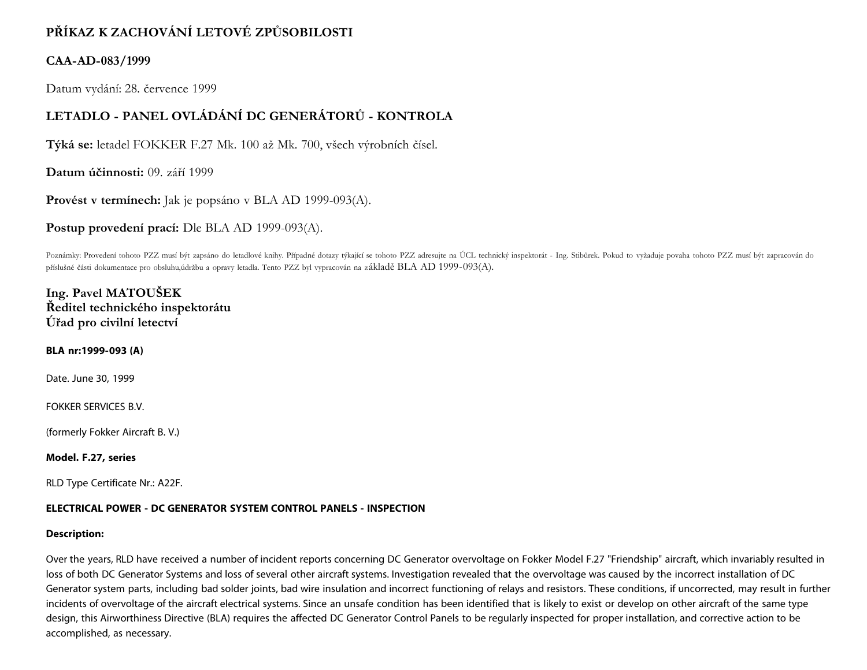# **PŘÍKAZ K ZACHOVÁNÍ LETOVÉ ZPŮSOBILOSTI**

## **CAA-AD-083/1999**

Datum vydání: 28. července 1999

# **LETADLO - PANEL OVLÁDÁNÍ DC GENERÁTORŮ - KONTROLA**

**Týká se:** letadel FOKKER F.27 Mk. 100 až Mk. 700, všech výrobních čísel.

**Datum účinnosti:** 09. září 1999

**Provést v termínech:** Jak je popsáno v BLA AD 1999-093(A).

**Postup provedení prací:** Dle BLA AD 1999-093(A).

Poznámky: Provedení tohoto PZZ musí být zapsáno do letadlové knihy. Případné dotazy týkající se tohoto PZZ adresujte na ÚCL technický inspektorát - Ing. Stibůrek. Pokud to vyžaduje povaha tohoto PZZ musí být zapracován do příslušné části dokumentace pro obsluhu,údržbu a opravy letadla. Tento PZZ byl vypracován na základě BLA AD 1999-093(A).

## **Ing. Pavel MATOUŠEK Ředitel technického inspektorátu Úřad pro civilní letectví**

### **BLA nr:1999-093 (A)**

Date. June 30, 1999

FOKKER SERVICES B.V.

(formerly Fokker Aircraft B. V.)

#### **Model. F.27, series**

RLD Type Certificate Nr.: A22F.

### **ELECTRICAL POWER - DC GENERATOR SYSTEM CONTROL PANELS - INSPECTION**

#### **Description:**

Over the years, RLD have received a number of incident reports concerning DC Generator overvoltage on Fokker Model F.27 "Friendship" aircraft, which invariably resulted in loss of both DC Generator Systems and loss of several other aircraft systems. Investigation revealed that the overvoltage was caused by the incorrect installation of DC Generator system parts, including bad solder joints, bad wire insulation and incorrect functioning of relays and resistors. These conditions, if uncorrected, may result in further incidents of overvoltage of the aircraft electrical systems. Since an unsafe condition has been identified that is likely to exist or develop on other aircraft of the same type design, this Airworthiness Directive (BLA) requires the affected DC Generator Control Panels to be regularly inspected for proper installation, and corrective action to be accomplished, as necessary.